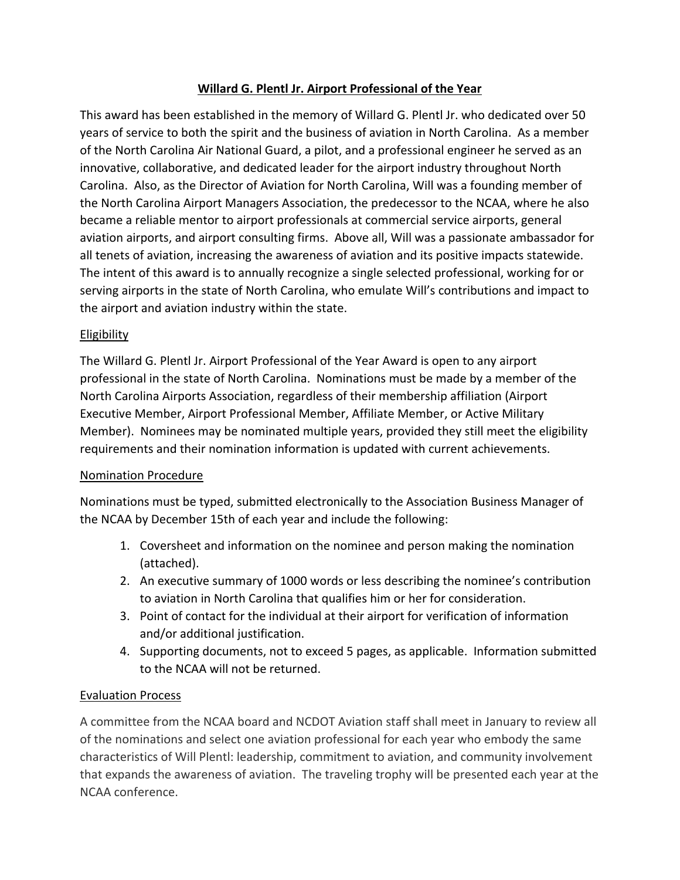## **Willard G. Plentl Jr. Airport Professional of the Year**

This award has been established in the memory of Willard G. Plentl Jr. who dedicated over 50 years of service to both the spirit and the business of aviation in North Carolina. As a member of the North Carolina Air National Guard, a pilot, and a professional engineer he served as an innovative, collaborative, and dedicated leader for the airport industry throughout North Carolina. Also, as the Director of Aviation for North Carolina, Will was a founding member of the North Carolina Airport Managers Association, the predecessor to the NCAA, where he also became a reliable mentor to airport professionals at commercial service airports, general aviation airports, and airport consulting firms. Above all, Will was a passionate ambassador for all tenets of aviation, increasing the awareness of aviation and its positive impacts statewide. The intent of this award is to annually recognize a single selected professional, working for or serving airports in the state of North Carolina, who emulate Will's contributions and impact to the airport and aviation industry within the state.

## **Eligibility**

The Willard G. Plentl Jr. Airport Professional of the Year Award is open to any airport professional in the state of North Carolina. Nominations must be made by a member of the North Carolina Airports Association, regardless of their membership affiliation (Airport Executive Member, Airport Professional Member, Affiliate Member, or Active Military Member). Nominees may be nominated multiple years, provided they still meet the eligibility requirements and their nomination information is updated with current achievements.

## Nomination Procedure

Nominations must be typed, submitted electronically to the Association Business Manager of the NCAA by December 15th of each year and include the following:

- 1. Coversheet and information on the nominee and person making the nomination (attached).
- 2. An executive summary of 1000 words or less describing the nominee's contribution to aviation in North Carolina that qualifies him or her for consideration.
- 3. Point of contact for the individual at their airport for verification of information and/or additional justification.
- 4. Supporting documents, not to exceed 5 pages, as applicable. Information submitted to the NCAA will not be returned.

## Evaluation Process

A committee from the NCAA board and NCDOT Aviation staff shall meet in January to review all of the nominations and select one aviation professional for each year who embody the same characteristics of Will Plentl: leadership, commitment to aviation, and community involvement that expands the awareness of aviation. The traveling trophy will be presented each year at the NCAA conference.